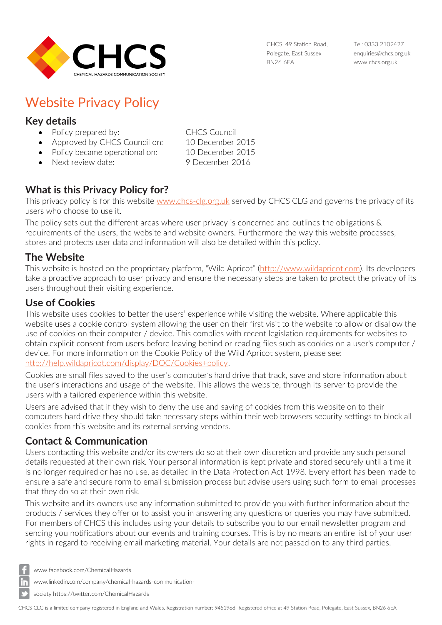

CHCS, 49 Station Road, Polegate, East Sussex BN26 6EA

Tel: 0333 2102427 [enquiries@chcs.org.uk](mailto:enquiries@chcs.org.uk) [www.chcs.org.uk](http://www.chcs.org.uk/)

# Website Privacy Policy

## **Key details**

- Policy prepared by: CHCS Council
- Approved by CHCS Council on: 10 December 2015
- Policy became operational on: 10 December 2015
- 
- Next review date: 9 December 2016

# **What is this Privacy Policy for?**

This privacy policy is for this website [www.chcs-clg.org.uk](http://www.chcs-clg.org.uk/) served by CHCS CLG and governs the privacy of its users who choose to use it.

The policy sets out the different areas where user privacy is concerned and outlines the obligations & requirements of the users, the website and website owners. Furthermore the way this website processes, stores and protects user data and information will also be detailed within this policy.

#### **The Website**

This website is hosted on the proprietary platform, "Wild Apricot" ([http://www.wildapricot.com\)](http://www.wildapricot.com/). Its developers take a proactive approach to user privacy and ensure the necessary steps are taken to protect the privacy of its users throughout their visiting experience.

# **Use of Cookies**

This website uses cookies to better the users' experience while visiting the website. Where applicable this website uses a cookie control system allowing the user on their first visit to the website to allow or disallow the use of cookies on their computer / device. This complies with recent legislation requirements for websites to obtain explicit consent from users before leaving behind or reading files such as cookies on a user's computer / device. For more information on the Cookie Policy of the Wild Apricot system, please see: [http://help.wildapricot.com/display/DOC/Cookies+policy.](http://help.wildapricot.com/display/DOC/Cookies+policy)

Cookies are small files saved to the user's computer's hard drive that track, save and store information about the user's interactions and usage of the website. This allows the website, through its server to provide the users with a tailored experience within this website.

Users are advised that if they wish to deny the use and saving of cookies from this website on to their computers hard drive they should take necessary steps within their web browsers security settings to block all cookies from this website and its external serving vendors.

## **Contact & Communication**

Users contacting this website and/or its owners do so at their own discretion and provide any such personal details requested at their own risk. Your personal information is kept private and stored securely until a time it is no longer required or has no use, as detailed in the Data Protection Act 1998. Every effort has been made to ensure a safe and secure form to email submission process but advise users using such form to email processes that they do so at their own risk.

This website and its owners use any information submitted to provide you with further information about the products / services they offer or to assist you in answering any questions or queries you may have submitted. For members of CHCS this includes using your details to subscribe you to our email newsletter program and sending you notifications about our events and training courses. This is by no means an entire list of your user rights in regard to receiving email marketing material. Your details are not passed on to any third parties.

- [www.facebook.com/ChemicalHazards](http://www.facebook.com/ChemicalHazards)
- [www.linkedin.com/company/chemical-hazards-communication-](http://www.linkedin.com/company/chemical-hazards-communication-society)
- [society](http://www.linkedin.com/company/chemical-hazards-communication-society) https://twitter.com/ChemicalHazards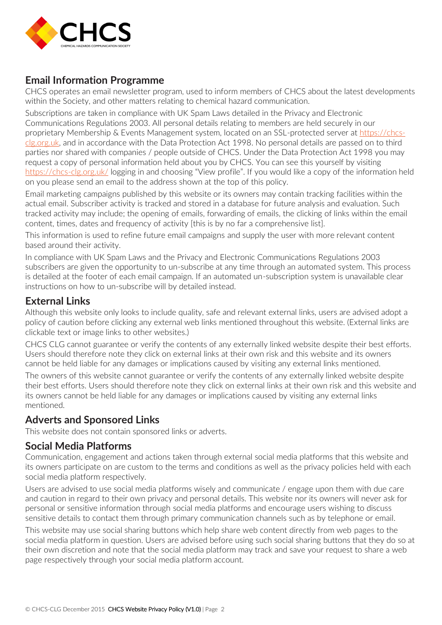

#### **Email Information Programme**

CHCS operates an email newsletter program, used to inform members of CHCS about the latest developments within the Society, and other matters relating to chemical hazard communication.

Subscriptions are taken in compliance with UK Spam Laws detailed in the Privacy and Electronic Communications Regulations 2003. All personal details relating to members are held securely in our proprietary Membership & Events Management system, located on an SSL-protected server at [https://chcs](https://chcs-clg.org.uk/)[clg.org.uk,](https://chcs-clg.org.uk/) and in accordance with the Data Protection Act 1998. No personal details are passed on to third parties nor shared with companies / people outside of CHCS. Under the Data Protection Act 1998 you may request a copy of personal information held about you by CHCS. You can see this yourself by visiting <https://chcs-clg.org.uk/> logging in and choosing "View profile". If you would like a copy of the information held on you please send an email to the address shown at the top of this policy.

Email marketing campaigns published by this website or its owners may contain tracking facilities within the actual email. Subscriber activity is tracked and stored in a database for future analysis and evaluation. Such tracked activity may include; the opening of emails, forwarding of emails, the clicking of links within the email content, times, dates and frequency of activity [this is by no far a comprehensive list].

This information is used to refine future email campaigns and supply the user with more relevant content based around their activity.

In compliance with UK Spam Laws and the Privacy and Electronic Communications Regulations 2003 subscribers are given the opportunity to un-subscribe at any time through an automated system. This process is detailed at the footer of each email campaign. If an automated un-subscription system is unavailable clear instructions on how to un-subscribe will by detailed instead.

#### **External Links**

Although this website only looks to include quality, safe and relevant external links, users are advised adopt a policy of caution before clicking any external web links mentioned throughout this website. (External links are clickable text or image links to other websites.)

CHCS CLG cannot guarantee or verify the contents of any externally linked website despite their best efforts. Users should therefore note they click on external links at their own risk and this website and its owners cannot be held liable for any damages or implications caused by visiting any external links mentioned.

The owners of this website cannot guarantee or verify the contents of any externally linked website despite their best efforts. Users should therefore note they click on external links at their own risk and this website and its owners cannot be held liable for any damages or implications caused by visiting any external links mentioned.

#### **Adverts and Sponsored Links**

This website does not contain sponsored links or adverts.

#### **Social Media Platforms**

Communication, engagement and actions taken through external social media platforms that this website and its owners participate on are custom to the terms and conditions as well as the privacy policies held with each social media platform respectively.

Users are advised to use social media platforms wisely and communicate / engage upon them with due care and caution in regard to their own privacy and personal details. This website nor its owners will never ask for personal or sensitive information through social media platforms and encourage users wishing to discuss sensitive details to contact them through primary communication channels such as by telephone or email.

This website may use social sharing buttons which help share web content directly from web pages to the social media platform in question. Users are advised before using such social sharing buttons that they do so at their own discretion and note that the social media platform may track and save your request to share a web page respectively through your social media platform account.